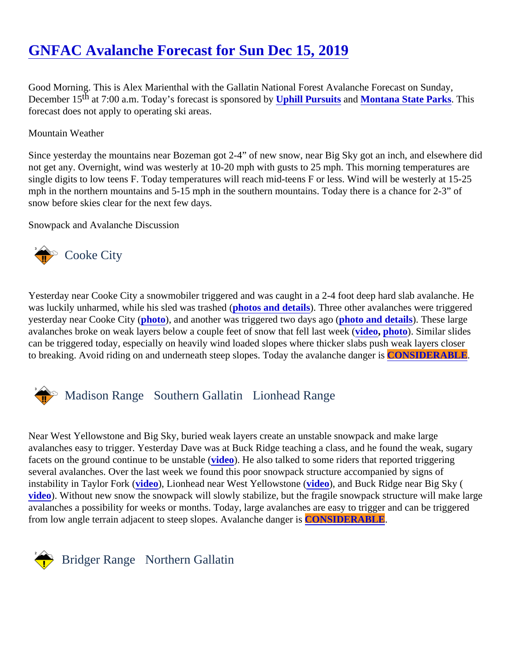# [GNFAC Avalanche Forecast for Sun Dec 15, 201](https://www.mtavalanche.com/forecast/19/12/15)9

Good Morning. This is Alex Marienthal with the Gallatin National Forest Avalanche Forecast on Sunday, December 19 at 7:00 a.m. Today's forecast is sponsored by Ill Pursuits and Montana State Parks This forecast does not apply to operating ski areas.

## Mountain Weather

Since yesterday the mountains near Bozeman got 2-4" of new snow, near Big Sky got an inch, and elsewhere not get any. Overnight, wind was westerly at 10-20 mph with gusts to 25 mph. This morning temperatures are single digits to low teens F. Today temperatures will reach mid-teens F or less. Wind will be westerly at 15-25 mph in the northern mountains and 5-15 mph in the southern mountains. Today there is a chance for 2-3" of snow before skies clear for the next few days.

Snowpack and Avalanche Discussion

# Cooke City

Yesterday near Cooke City a snowmobiler triggered and was caught in a 2-4 foot deep hard slab avalanche. was luckily unharmed, while his sled was trashet to and details. Three other avalanches were triggered yesterday near Cooke City (oto), and another was triggered two days ago (o and details). These large avalanches broke on weak layers below a couple feet of snow that fell las[t wee](https://youtu.be/LGgBEFTzlN4)k ( hoto). Similar slides can be triggered today, especially on heavily wind loaded slopes where thicker slabs push weak layers closer to breaking. Avoid riding on and underneath steep slopes. Today the avalanche **CONSIDERABLE**.

# Madison RangeSouthern Gallatin Lionhead Range

Near West Yellowstone and Big Sky, buried weak layers create an unstable snowpack and make large avalanches easy to trigger. Yesterday Dave was at Buck Ridge teaching a class, and he found the weak, sug facets on the ground continue to be unstable (b). He also talked to some riders that reported triggering several avalanches. Over the last week we found this poor snowpack structure accompanied by signs of instability in Taylor Fork [\(video](https://www.youtube.com/watch?v=GvpDqZDLTto&list=PLXu5151nmAvSbcbVfoR785MxkqkNVy8Pp&index=2&t=0s)), Lionhead near West Yellowstonedeo), and Buck Ridge near Big Sky ( [video](https://www.youtube.com/watch?v=Lo5H0T434XA&list=PLXu5151nmAvSbcbVfoR785MxkqkNVy8Pp&index=2&t=0s)). Without new snow the snowpack will slowly stabilize, but the fragile snowpack structure will make larg avalanches a possibility for weeks or months. Today, large avalanches are easy to trigger and can be triggere from low angle terrain adjacent to steep slopes. Avalanche darCONSIDERABLE.

# Bridger Range Northern Gallatin